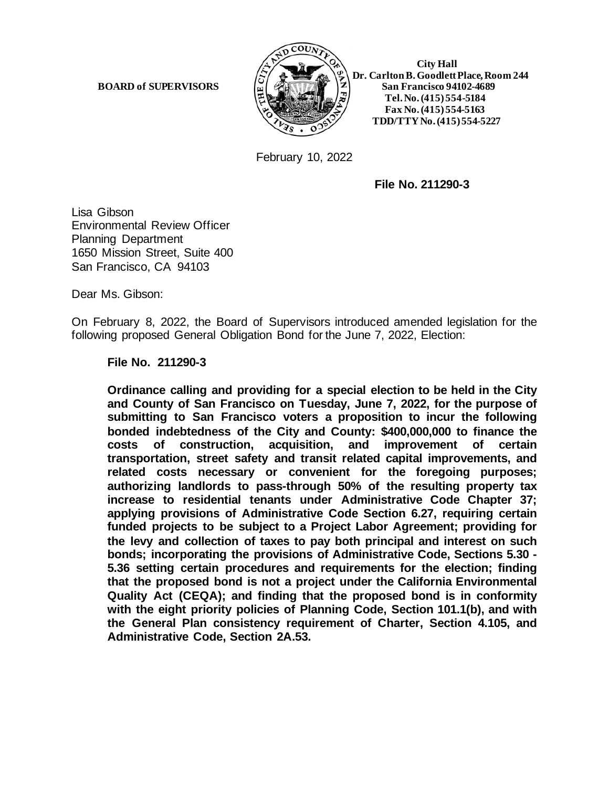

 **Dr. Carlton B. Goodlett Place, Room 244 BOARD of SUPERVISORS**  $\begin{bmatrix} \tilde{\omega} \end{bmatrix}$   $\mathcal{B}(\sqrt{17})$   $\begin{bmatrix} \tilde{\omega} \end{bmatrix}$  San Francisco 94102-4689  **Tel. No. (415) 554-5184 Fax No. (415) 554-5163 TDD/TTY No. (415) 554-5227**

February 10, 2022

**File No. 211290-3**

Lisa Gibson Environmental Review Officer Planning Department 1650 Mission Street, Suite 400 San Francisco, CA 94103

Dear Ms. Gibson:

On February 8, 2022, the Board of Supervisors introduced amended legislation for the following proposed General Obligation Bond for the June 7, 2022, Election:

**File No. 211290-3**

**Ordinance calling and providing for a special election to be held in the City and County of San Francisco on Tuesday, June 7, 2022, for the purpose of submitting to San Francisco voters a proposition to incur the following bonded indebtedness of the City and County: \$400,000,000 to finance the costs of construction, acquisition, and improvement of certain transportation, street safety and transit related capital improvements, and related costs necessary or convenient for the foregoing purposes; authorizing landlords to pass-through 50% of the resulting property tax increase to residential tenants under Administrative Code Chapter 37; applying provisions of Administrative Code Section 6.27, requiring certain funded projects to be subject to a Project Labor Agreement; providing for the levy and collection of taxes to pay both principal and interest on such bonds; incorporating the provisions of Administrative Code, Sections 5.30 - 5.36 setting certain procedures and requirements for the election; finding that the proposed bond is not a project under the California Environmental Quality Act (CEQA); and finding that the proposed bond is in conformity with the eight priority policies of Planning Code, Section 101.1(b), and with the General Plan consistency requirement of Charter, Section 4.105, and Administrative Code, Section 2A.53.**